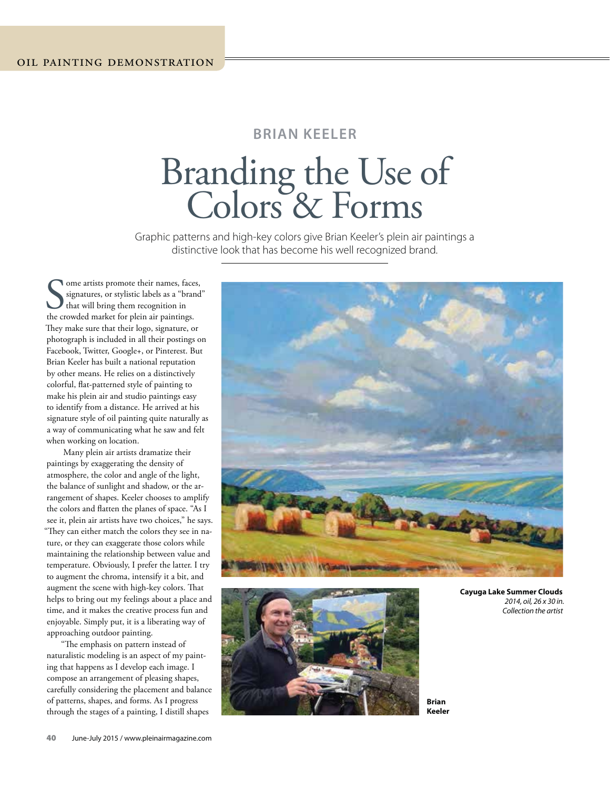## **BRIAN KEELER**

# Branding the Use of Colors & Forms

Graphic patterns and high-key colors give Brian Keeler's plein air paintings a distinctive look that has become his well recognized brand.

Some artists promote their names, faces signatures, or stylistic labels as a "branche that will bring them recognition in the crowded market for plein air paintings. ome artists promote their names, faces, signatures, or stylistic labels as a "brand" that will bring them recognition in They make sure that their logo, signature, or photograph is included in all their postings on Facebook, Twitter, Google+, or Pinterest. But Brian Keeler has built a national reputation by other means. He relies on a distinctively colorful, flat-patterned style of painting to make his plein air and studio paintings easy to identify from a distance. He arrived at his signature style of oil painting quite naturally as a way of communicating what he saw and felt when working on location.

Many plein air artists dramatize their paintings by exaggerating the density of atmosphere, the color and angle of the light, the balance of sunlight and shadow, or the arrangement of shapes. Keeler chooses to amplify the colors and flatten the planes of space. "As I see it, plein air artists have two choices," he says. "They can either match the colors they see in nature, or they can exaggerate those colors while maintaining the relationship between value and temperature. Obviously, I prefer the latter. I try to augment the chroma, intensify it a bit, and augment the scene with high-key colors. That helps to bring out my feelings about a place and time, and it makes the creative process fun and enjoyable. Simply put, it is a liberating way of approaching outdoor painting.

"The emphasis on pattern instead of naturalistic modeling is an aspect of my painting that happens as I develop each image. I compose an arrangement of pleasing shapes, carefully considering the placement and balance of patterns, shapes, and forms. As I progress through the stages of a painting, I distill shapes





**Cayuga Lake Summer Clouds** 2014, oil, 26 x 30 in. Collection the artist

**Brian Keeler**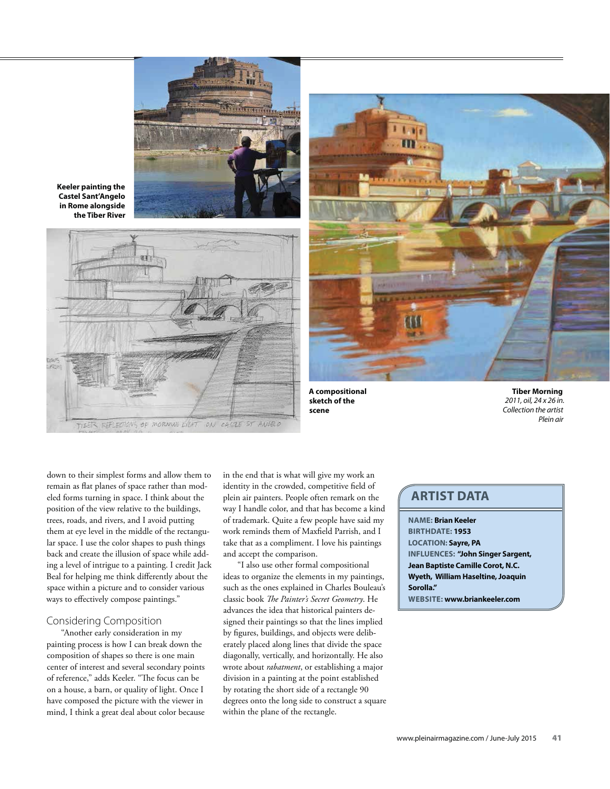

**Keeler painting the Castel Sant'Angelo in Rome alongside the Tiber River**





**A compositional sketch of the scene**

**Tiber Morning** 2011, oil, 24 x 26 in. Collection the artist Plein air

down to their simplest forms and allow them to remain as flat planes of space rather than modeled forms turning in space. I think about the position of the view relative to the buildings, trees, roads, and rivers, and I avoid putting them at eye level in the middle of the rectangular space. I use the color shapes to push things back and create the illusion of space while adding a level of intrigue to a painting. I credit Jack Beal for helping me think differently about the space within a picture and to consider various ways to effectively compose paintings."

#### Considering Composition

"Another early consideration in my painting process is how I can break down the composition of shapes so there is one main center of interest and several secondary points of reference," adds Keeler. "The focus can be on a house, a barn, or quality of light. Once I have composed the picture with the viewer in mind, I think a great deal about color because

in the end that is what will give my work an identity in the crowded, competitive field of plein air painters. People often remark on the way I handle color, and that has become a kind of trademark. Quite a few people have said my work reminds them of Maxfield Parrish, and I take that as a compliment. I love his paintings and accept the comparison.

"I also use other formal compositional ideas to organize the elements in my paintings, such as the ones explained in Charles Bouleau's classic book *The Painter's Secret Geometry*. He advances the idea that historical painters designed their paintings so that the lines implied by figures, buildings, and objects were deliberately placed along lines that divide the space diagonally, vertically, and horizontally. He also wrote about *rabatment*, or establishing a major division in a painting at the point established by rotating the short side of a rectangle 90 degrees onto the long side to construct a square within the plane of the rectangle.

## **ARTIST DATA**

**NAME: Brian Keeler BIRTHDATE: 1953 LOCATION: Sayre, PA INFLUENCES: "John Singer Sargent, Jean Baptiste Camille Corot, N.C. Wyeth, William Haseltine, Joaquin Sorolla." WEBSITE: www.briankeeler.com**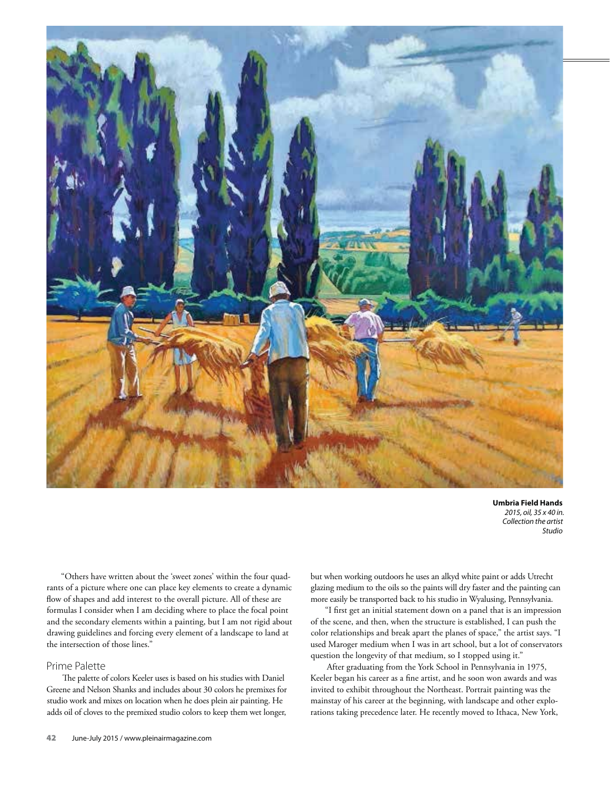

**Umbria Field Hands** 2015, oil, 35 x 40 in. Collection the artist Studio

"Others have written about the 'sweet zones' within the four quadrants of a picture where one can place key elements to create a dynamic flow of shapes and add interest to the overall picture. All of these are formulas I consider when I am deciding where to place the focal point and the secondary elements within a painting, but I am not rigid about drawing guidelines and forcing every element of a landscape to land at the intersection of those lines."

#### Prime Palette

The palette of colors Keeler uses is based on his studies with Daniel Greene and Nelson Shanks and includes about 30 colors he premixes for studio work and mixes on location when he does plein air painting. He adds oil of cloves to the premixed studio colors to keep them wet longer,

but when working outdoors he uses an alkyd white paint or adds Utrecht glazing medium to the oils so the paints will dry faster and the painting can more easily be transported back to his studio in Wyalusing, Pennsylvania.

"I first get an initial statement down on a panel that is an impression of the scene, and then, when the structure is established, I can push the color relationships and break apart the planes of space," the artist says. "I used Maroger medium when I was in art school, but a lot of conservators question the longevity of that medium, so I stopped using it."

After graduating from the York School in Pennsylvania in 1975, Keeler began his career as a fine artist, and he soon won awards and was invited to exhibit throughout the Northeast. Portrait painting was the mainstay of his career at the beginning, with landscape and other explorations taking precedence later. He recently moved to Ithaca, New York,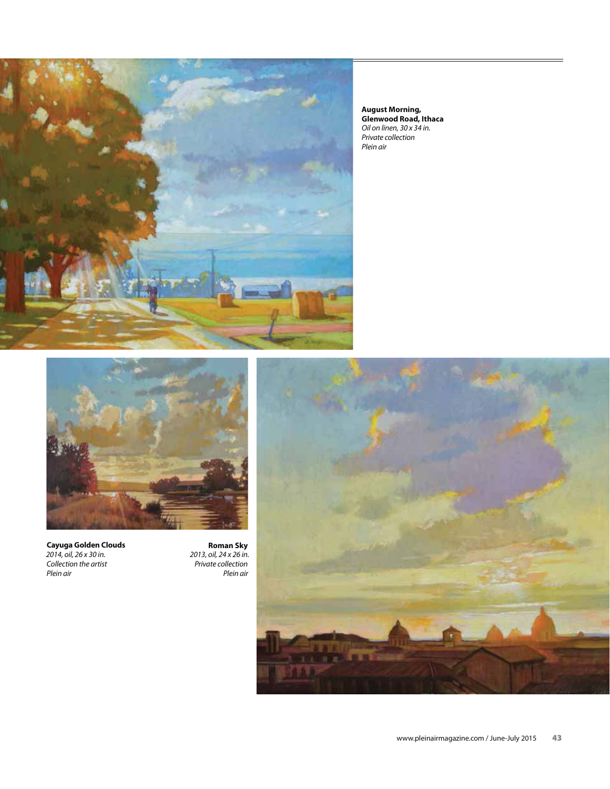

**August Morning, Glenwood Road, Ithaca** Oil on linen, 30 x 34 in. Private collection Plein air



**Cayuga Golden Clouds** 2014, oil, 26 x 30 in. Collection the artist Plein air

**Roman Sky** 2013, oil, 24 x 26 in. Private collection Plein air

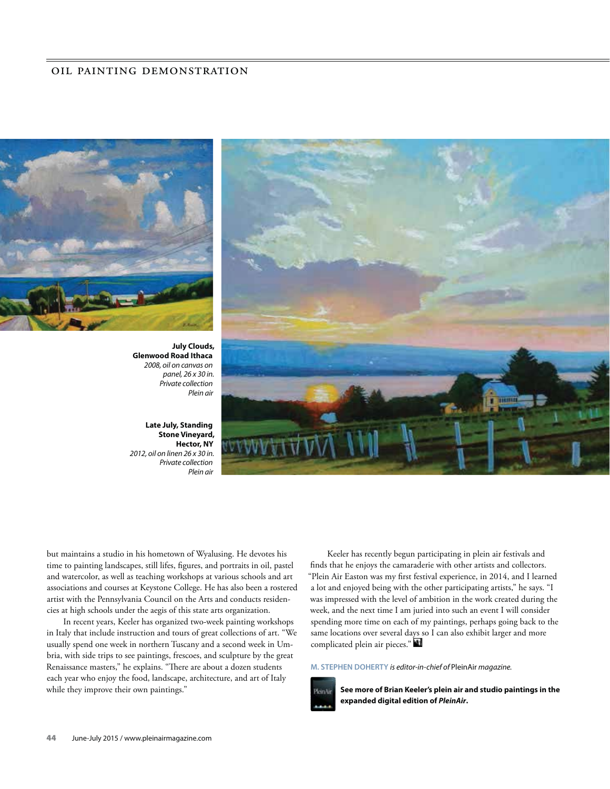

**July Clouds, Glenwood Road Ithaca** 2008, oil on canvas on panel, 26 x 30 in. Private collection Plein air

**Late July, Standing Stone Vineyard, Hector, NY** 2012, oil on linen 26 x 30 in. Private collection Plein air



but maintains a studio in his hometown of Wyalusing. He devotes his time to painting landscapes, still lifes, figures, and portraits in oil, pastel and watercolor, as well as teaching workshops at various schools and art associations and courses at Keystone College. He has also been a rostered artist with the Pennsylvania Council on the Arts and conducts residencies at high schools under the aegis of this state arts organization.

In recent years, Keeler has organized two-week painting workshops in Italy that include instruction and tours of great collections of art. "We usually spend one week in northern Tuscany and a second week in Umbria, with side trips to see paintings, frescoes, and sculpture by the great Renaissance masters," he explains. "There are about a dozen students each year who enjoy the food, landscape, architecture, and art of Italy while they improve their own paintings."

Keeler has recently begun participating in plein air festivals and finds that he enjoys the camaraderie with other artists and collectors. "Plein Air Easton was my first festival experience, in 2014, and I learned a lot and enjoyed being with the other participating artists," he says. "I was impressed with the level of ambition in the work created during the week, and the next time I am juried into such an event I will consider spending more time on each of my paintings, perhaps going back to the same locations over several days so I can also exhibit larger and more complicated plein air pieces."

#### **M. STEPHEN DOHERTY** is editor-in-chief of PleinAir magazine.



**See more of Brian Keeler's plein air and studio paintings in the expanded digital edition of** *PleinAir***.**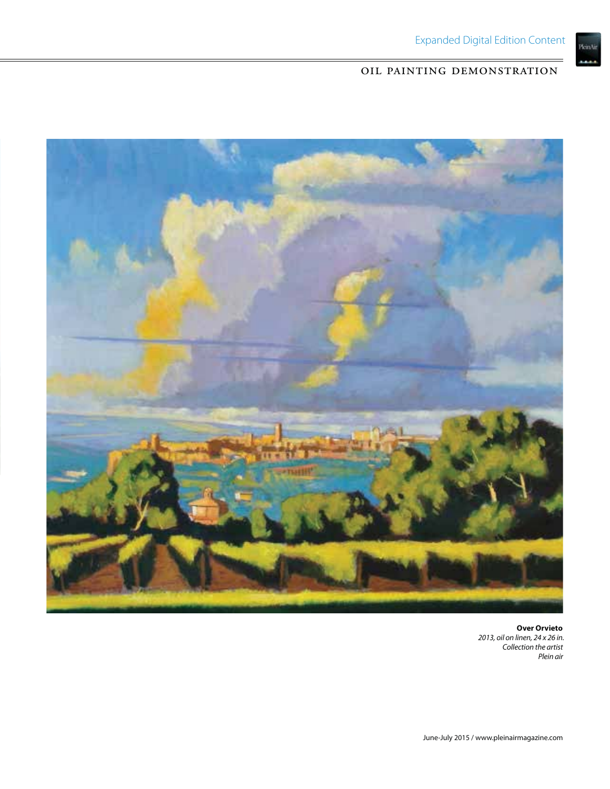



**Over Orvieto** 2013, oil on linen, 24 x 26 in. Collection the artist Plein air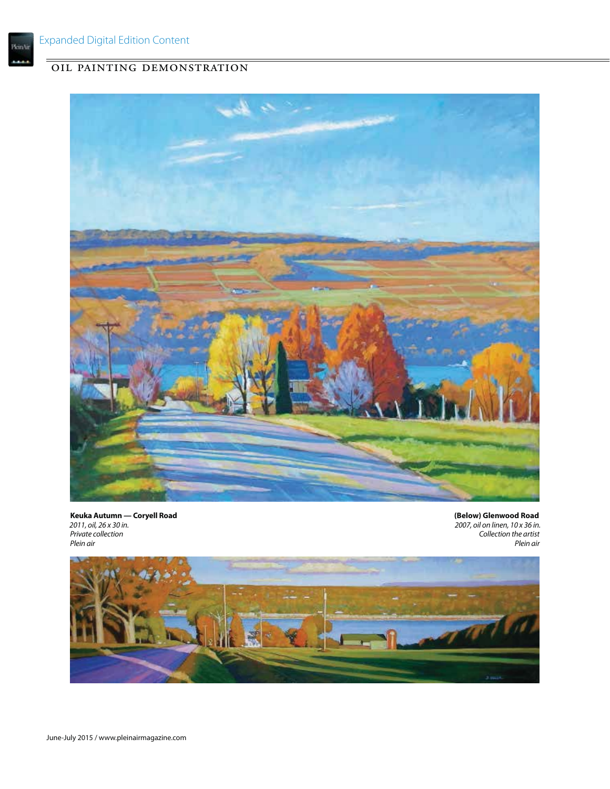

**Keuka Autumn — Coryell Road** 2011, oil, 26 x 30 in. Private collection Plein air

 **(Below) Glenwood Road** 2007, oil on linen, 10 x 36 in. Collection the artist Plein air

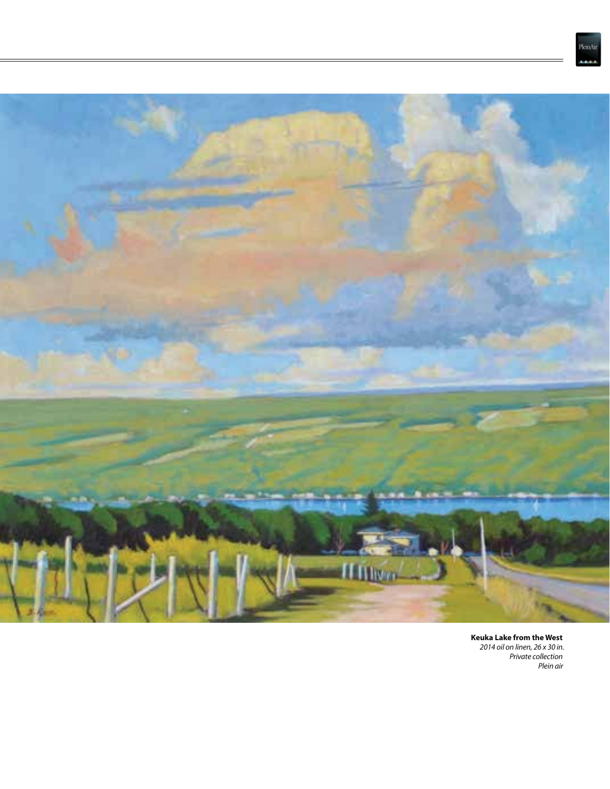



**Keuka Lake from the West** 2014 oil on linen, 26 x 30 in. Private collection Plein air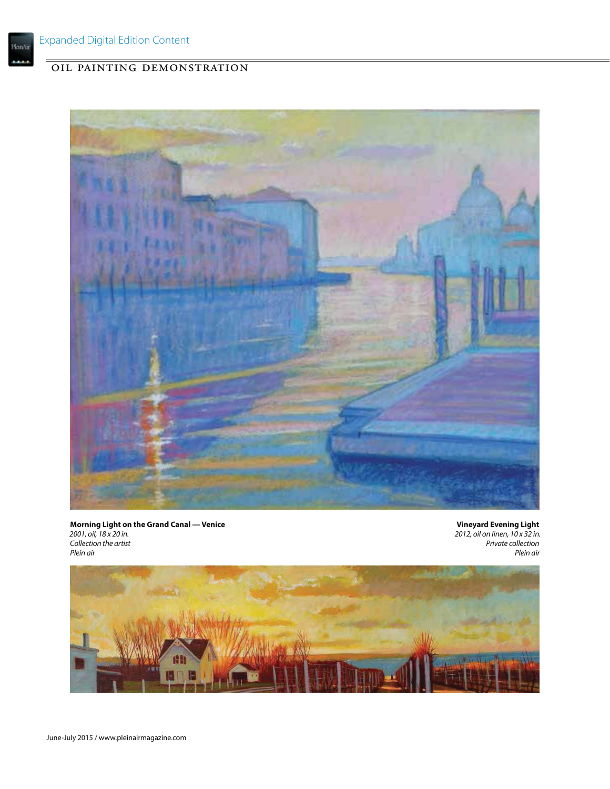

**Morning Light on the Grand Canal — Venice** 2001, oil, 18 x 20 in. Collection the artist Plein air

**Vineyard Evening Light** 2012, oil on linen, 10 x 32 in. Private collection Plein air

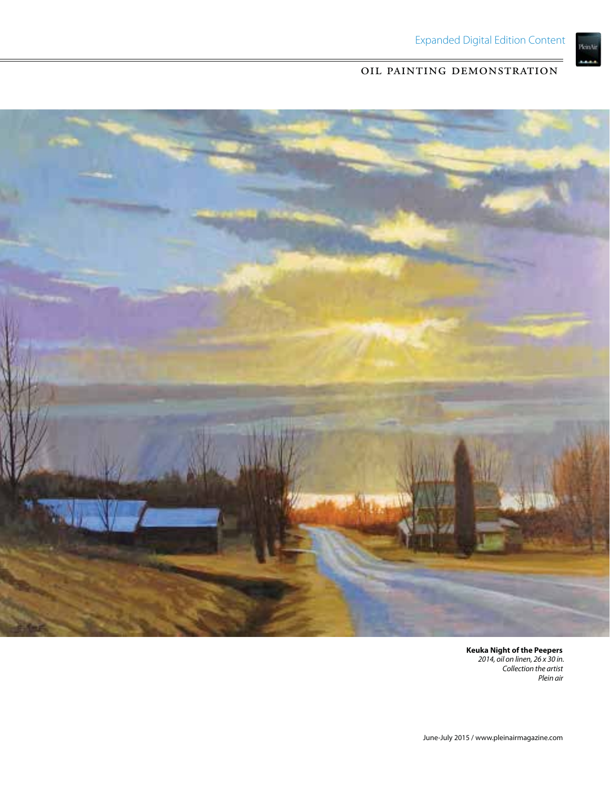



**Keuka Night of the Peepers** 2014, oil on linen, 26 x 30 in. Collection the artist Plein air